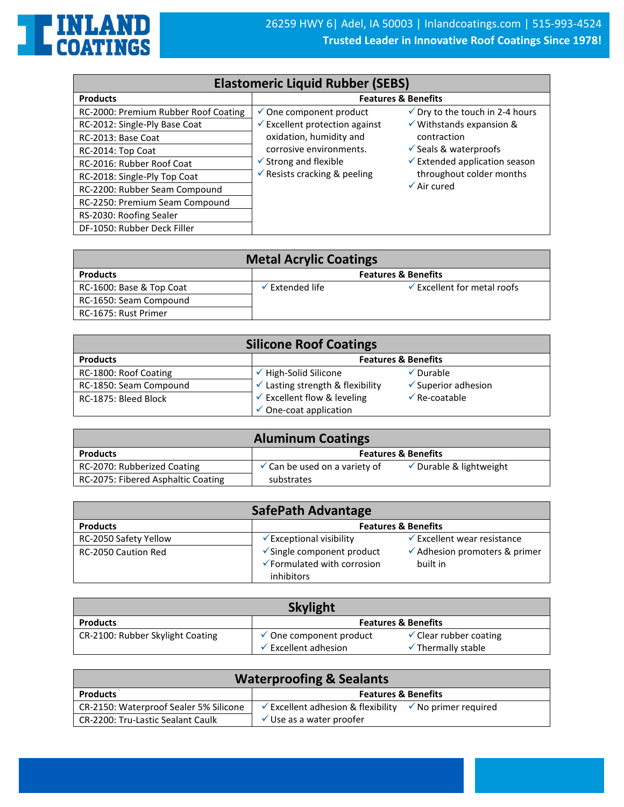

| <b>Elastomeric Liquid Rubber (SEBS)</b> |                                           |                                            |
|-----------------------------------------|-------------------------------------------|--------------------------------------------|
| <b>Products</b>                         |                                           | <b>Features &amp; Benefits</b>             |
| RC-2000: Premium Rubber Roof Coating    | $\checkmark$ One component product        | $\checkmark$ Dry to the touch in 2-4 hours |
| RC-2012: Single-Ply Base Coat           | $\checkmark$ Excellent protection against | $\checkmark$ Withstands expansion &        |
| RC-2013: Base Coat                      | oxidation, humidity and                   | contraction                                |
| RC-2014: Top Coat                       | corrosive environments.                   | $\checkmark$ Seals & waterproofs           |
| RC-2016: Rubber Roof Coat               | $\checkmark$ Strong and flexible          | $\checkmark$ Extended application season   |
| RC-2018: Single-Ply Top Coat            | $\checkmark$ Resists cracking & peeling   | throughout colder months                   |
| RC-2200: Rubber Seam Compound           |                                           | $\sqrt{\text{Air cured}}$                  |
| RC-2250: Premium Seam Compound          |                                           |                                            |
| RS-2030: Roofing Sealer                 |                                           |                                            |
| DF-1050: Rubber Deck Filler             |                                           |                                            |

| <b>Metal Acrylic Coatings</b> |                                |                                        |
|-------------------------------|--------------------------------|----------------------------------------|
| <b>Products</b>               | <b>Features &amp; Benefits</b> |                                        |
| RC-1600: Base & Top Coat      | $\checkmark$ Extended life     | $\checkmark$ Excellent for metal roofs |
| RC-1650: Seam Compound        |                                |                                        |
| RC-1675: Rust Primer          |                                |                                        |

| <b>Silicone Roof Coatings</b> |                                             |                                |
|-------------------------------|---------------------------------------------|--------------------------------|
| <b>Products</b>               |                                             | <b>Features &amp; Benefits</b> |
| RC-1800: Roof Coating         | High-Solid Silicone                         | $\sqrt{\frac{1}{2}}$ Durable   |
| RC-1850: Seam Compound        | $\checkmark$ Lasting strength & flexibility | $\checkmark$ Superior adhesion |
| RC-1875: Bleed Block          | $\checkmark$ Excellent flow & leveling      | $\sqrt{ }$ Re-coatable         |
|                               | $\checkmark$ One-coat application           |                                |

| <b>Aluminum Coatings</b>           |                                          |                                    |
|------------------------------------|------------------------------------------|------------------------------------|
| <b>Products</b>                    |                                          | <b>Features &amp; Benefits</b>     |
| RC-2070: Rubberized Coating        | $\checkmark$ Can be used on a variety of | $\checkmark$ Durable & lightweight |
| RC-2075: Fibered Asphaltic Coating | substrates                               |                                    |

| <b>SafePath Advantage</b>  |                                                                                 |                                                      |
|----------------------------|---------------------------------------------------------------------------------|------------------------------------------------------|
| <b>Products</b>            |                                                                                 | <b>Features &amp; Benefits</b>                       |
| RC-2050 Safety Yellow      | $\checkmark$ Exceptional visibility                                             | $\checkmark$ Excellent wear resistance               |
| <b>RC-2050 Caution Red</b> | $\checkmark$ Single component product<br>$\checkmark$ Formulated with corrosion | $\checkmark$ Adhesion promoters & primer<br>built in |
|                            | inhibitors                                                                      |                                                      |

| <b>Skylight</b>                  |                                             |                                                                    |
|----------------------------------|---------------------------------------------|--------------------------------------------------------------------|
| <b>Products</b>                  |                                             | <b>Features &amp; Benefits</b>                                     |
| CR-2100: Rubber Skylight Coating | One component product<br>Excellent adhesion | $\checkmark$ Clear rubber coating<br>$\checkmark$ Thermally stable |

| <b>Waterproofing &amp; Sealants</b>    |                                                                               |  |
|----------------------------------------|-------------------------------------------------------------------------------|--|
| <b>Products</b>                        | <b>Features &amp; Benefits</b>                                                |  |
| CR-2150: Waterproof Sealer 5% Silicone | $\checkmark$ Excellent adhesion & flexibility $\checkmark$ No primer required |  |
| CR-2200: Tru-Lastic Sealant Caulk      | $\checkmark$ Use as a water proofer                                           |  |